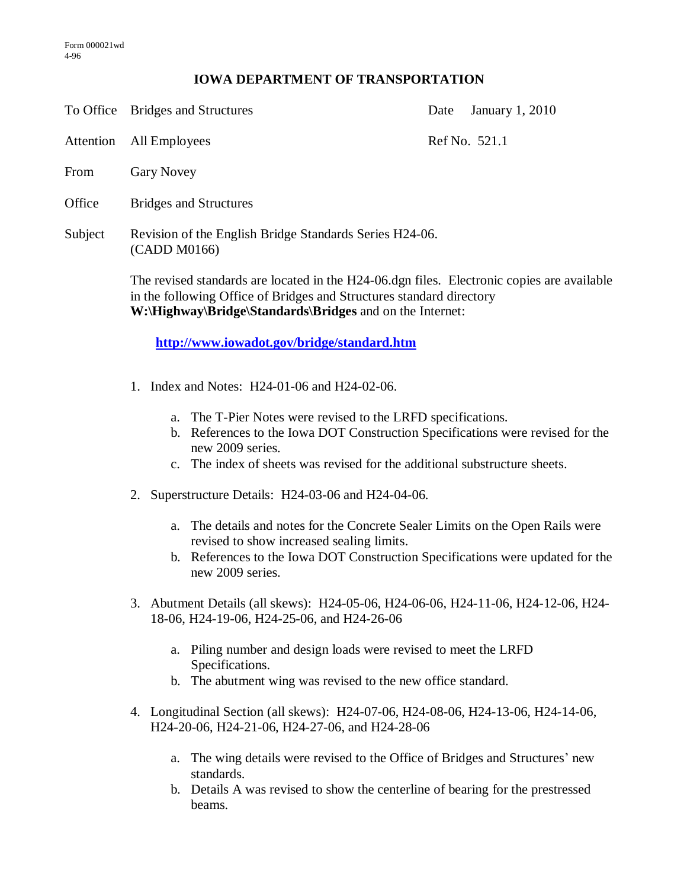## **IOWA DEPARTMENT OF TRANSPORTATION**

To Office Bridges and Structures Date January 1, 2010

Attention All Employees Ref No. 521.1

- From Gary Novey
- Office Bridges and Structures
- Subject Revision of the English Bridge Standards Series H24-06. (CADD M0166)

The revised standards are located in the H24-06.dgn files. Electronic copies are available in the following Office of Bridges and Structures standard directory **W:\Highway\Bridge\Standards\Bridges** and on the Internet:

**<http://www.iowadot.gov/bridge/standard.htm>**

- 1. Index and Notes: H24-01-06 and H24-02-06.
	- a. The T-Pier Notes were revised to the LRFD specifications.
	- b. References to the Iowa DOT Construction Specifications were revised for the new 2009 series.
	- c. The index of sheets was revised for the additional substructure sheets.
- 2. Superstructure Details: H24-03-06 and H24-04-06.
	- a. The details and notes for the Concrete Sealer Limits on the Open Rails were revised to show increased sealing limits.
	- b. References to the Iowa DOT Construction Specifications were updated for the new 2009 series.
- 3. Abutment Details (all skews): H24-05-06, H24-06-06, H24-11-06, H24-12-06, H24- 18-06, H24-19-06, H24-25-06, and H24-26-06
	- a. Piling number and design loads were revised to meet the LRFD Specifications.
	- b. The abutment wing was revised to the new office standard.
- 4. Longitudinal Section (all skews): H24-07-06, H24-08-06, H24-13-06, H24-14-06, H24-20-06, H24-21-06, H24-27-06, and H24-28-06
	- a. The wing details were revised to the Office of Bridges and Structures' new standards.
	- b. Details A was revised to show the centerline of bearing for the prestressed beams.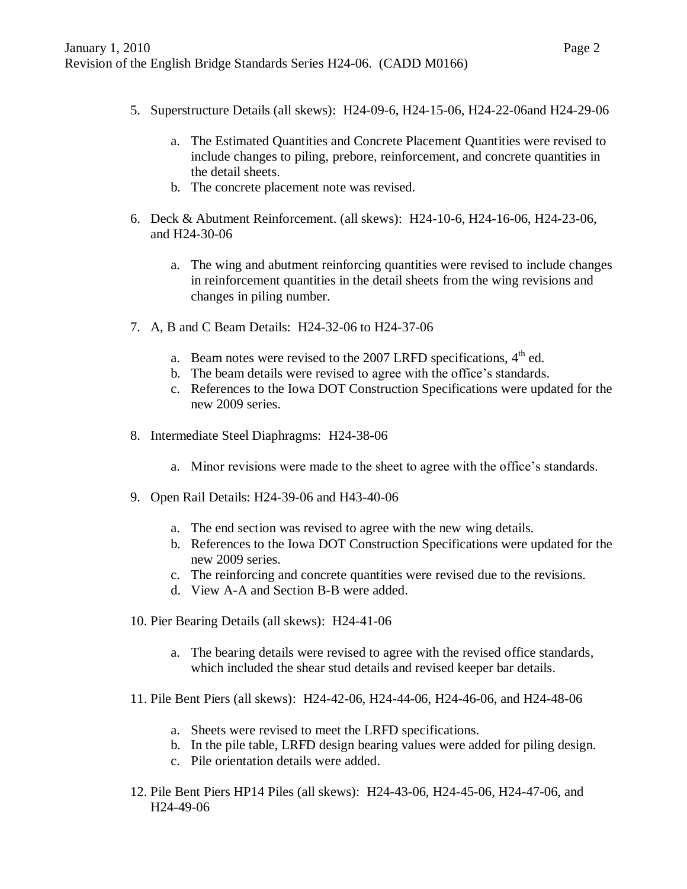- 5. Superstructure Details (all skews): H24-09-6, H24-15-06, H24-22-06and H24-29-06
	- a. The Estimated Quantities and Concrete Placement Quantities were revised to include changes to piling, prebore, reinforcement, and concrete quantities in the detail sheets.
	- b. The concrete placement note was revised.
- 6. Deck & Abutment Reinforcement. (all skews): H24-10-6, H24-16-06, H24-23-06, and H24-30-06
	- a. The wing and abutment reinforcing quantities were revised to include changes in reinforcement quantities in the detail sheets from the wing revisions and changes in piling number.
- 7. A, B and C Beam Details: H24-32-06 to H24-37-06
	- a. Beam notes were revised to the 2007 LRFD specifications,  $4<sup>th</sup>$  ed.
	- b. The beam details were revised to agree with the office's standards.
	- c. References to the Iowa DOT Construction Specifications were updated for the new 2009 series.
- 8. Intermediate Steel Diaphragms: H24-38-06
	- a. Minor revisions were made to the sheet to agree with the office's standards.
- 9. Open Rail Details: H24-39-06 and H43-40-06
	- a. The end section was revised to agree with the new wing details.
	- b. References to the Iowa DOT Construction Specifications were updated for the new 2009 series.
	- c. The reinforcing and concrete quantities were revised due to the revisions.
	- d. View A-A and Section B-B were added.
- 10. Pier Bearing Details (all skews): H24-41-06
	- a. The bearing details were revised to agree with the revised office standards, which included the shear stud details and revised keeper bar details.
- 11. Pile Bent Piers (all skews): H24-42-06, H24-44-06, H24-46-06, and H24-48-06
	- a. Sheets were revised to meet the LRFD specifications.
	- b. In the pile table, LRFD design bearing values were added for piling design.
	- c. Pile orientation details were added.
- 12. Pile Bent Piers HP14 Piles (all skews): H24-43-06, H24-45-06, H24-47-06, and H24-49-06